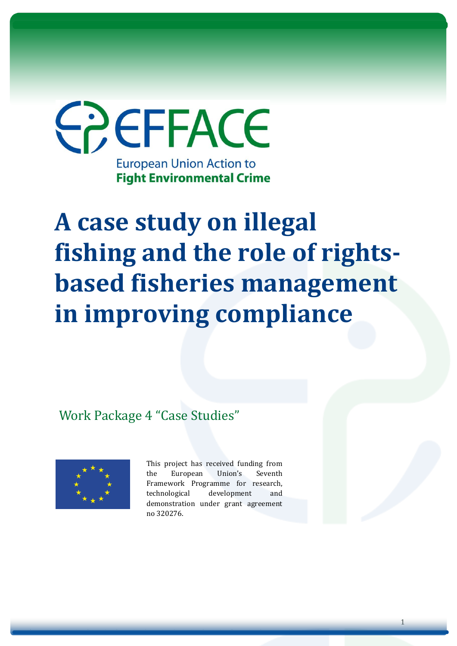

# **A case study on illegal fishing and the role of rightsbased fisheries management in improving compliance**

Work Package 4 "Case Studies"



This project has received funding from the European Union's Seventh Framework Programme for research, technological development and demonstration under grant agreement no 320276.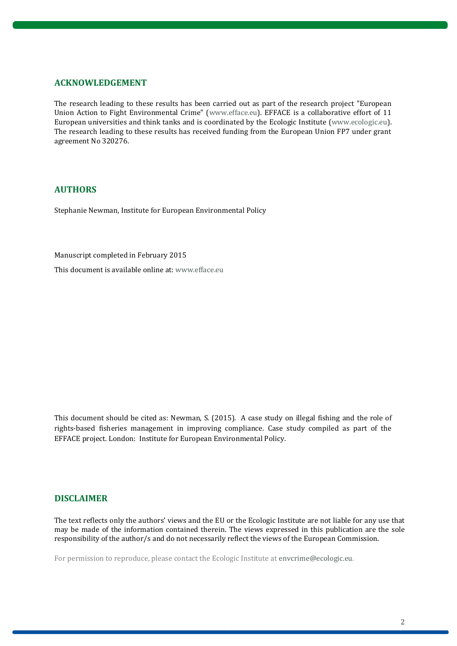#### **ACKNOWLEDGEMENT**

The research leading to these results has been carried out as part of the research project "European Union Action to Fight Environmental Crime" [\(www.efface.eu\)](http://www.efface.eu/). EFFACE is a collaborative effort of 11 European universities and think tanks and is coordinated by the Ecologic Institute [\(www.ecologic.eu\)](http://www.ecologic.eu/). The research leading to these results has received funding from the European Union FP7 under grant agreement No 320276.

#### **AUTHORS**

Stephanie Newman, Institute for European Environmental Policy

Manuscript completed in February 2015

This document is available online at[: www.efface.eu](http://www.efface.eu/)

This document should be cited as: Newman, S. (2015). A case study on illegal fishing and the role of rights-based fisheries management in improving compliance. Case study compiled as part of the EFFACE project. London: Institute for European Environmental Policy.

#### **DISCLAIMER**

The text reflects only the authors' views and the EU or the Ecologic Institute are not liable for any use that may be made of the information contained therein. The views expressed in this publication are the sole responsibility of the author/s and do not necessarily reflect the views of the European Commission.

For permission to reproduce, please contact the Ecologic Institute at [envcrime@ecologic.eu.](mailto:envcrime@ecologic.eu)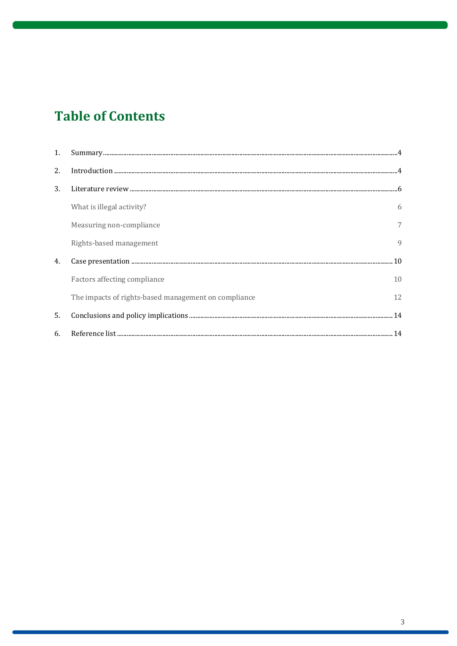# **Table of Contents**

| 1. |                                                      |              |
|----|------------------------------------------------------|--------------|
| 2. |                                                      |              |
| 3. |                                                      |              |
|    | What is illegal activity?                            | 6            |
|    | Measuring non-compliance                             | 7            |
|    | Rights-based management                              | $\mathbf{Q}$ |
| 4. |                                                      |              |
|    | Factors affecting compliance                         | 10           |
|    | The impacts of rights-based management on compliance | 12           |
| 5. |                                                      |              |
| 6. |                                                      |              |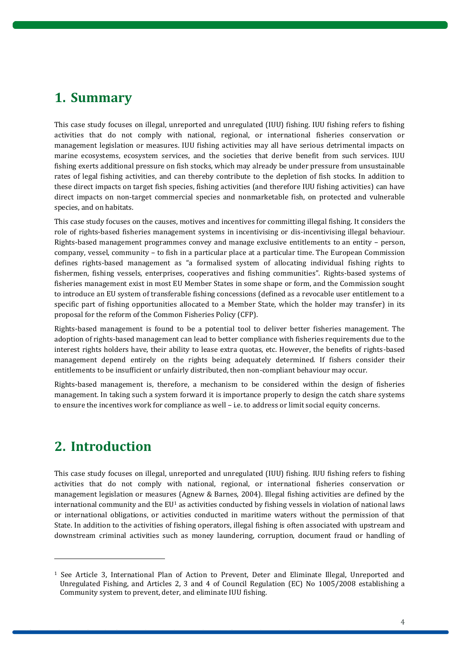### <span id="page-3-0"></span>**1. Summary**

This case study focuses on illegal, unreported and unregulated (IUU) fishing. IUU fishing refers to fishing activities that do not comply with national, regional, or international fisheries conservation or management legislation or measures. IUU fishing activities may all have serious detrimental impacts on marine ecosystems, ecosystem services, and the societies that derive benefit from such services. IUU fishing exerts additional pressure on fish stocks, which may already be under pressure from unsustainable rates of legal fishing activities, and can thereby contribute to the depletion of fish stocks. In addition to these direct impacts on target fish species, fishing activities (and therefore IUU fishing activities) can have direct impacts on non-target commercial species and nonmarketable fish, on protected and vulnerable species, and on habitats.

This case study focuses on the causes, motives and incentives for committing illegal fishing. It considers the role of rights-based fisheries management systems in incentivising or dis-incentivising illegal behaviour. Rights-based management programmes convey and manage exclusive entitlements to an entity – person, company, vessel, community – to fish in a particular place at a particular time. The European Commission defines rights-based management as "a formalised system of allocating individual fishing rights to fishermen, fishing vessels, enterprises, cooperatives and fishing communities". Rights-based systems of fisheries management exist in most EU Member States in some shape or form, and the Commission sought to introduce an EU system of transferable fishing concessions (defined as a revocable user entitlement to a specific part of fishing opportunities allocated to a Member State, which the holder may transfer) in its proposal for the reform of the Common Fisheries Policy (CFP).

Rights-based management is found to be a potential tool to deliver better fisheries management. The adoption of rights-based management can lead to better compliance with fisheries requirements due to the interest rights holders have, their ability to lease extra quotas, etc. However, the benefits of rights-based management depend entirely on the rights being adequately determined. If fishers consider their entitlements to be insufficient or unfairly distributed, then non-compliant behaviour may occur.

Rights-based management is, therefore, a mechanism to be considered within the design of fisheries management. In taking such a system forward it is importance properly to design the catch share systems to ensure the incentives work for compliance as well – i.e. to address or limit social equity concerns.

# <span id="page-3-1"></span>**2. Introduction**

 $\overline{a}$ 

This case study focuses on illegal, unreported and unregulated (IUU) fishing. IUU fishing refers to fishing activities that do not comply with national, regional, or international fisheries conservation or management legislation or measures (Agnew & Barnes, 2004). Illegal fishing activities are defined by the international community and the  $EU<sup>1</sup>$  as activities conducted by fishing vessels in violation of national laws or international obligations, or activities conducted in maritime waters without the permission of that State. In addition to the activities of fishing operators, illegal fishing is often associated with upstream and downstream criminal activities such as money laundering, corruption, document fraud or handling of

<sup>1</sup> See Article 3, International Plan of Action to Prevent, Deter and Eliminate Illegal, Unreported and Unregulated Fishing, and Articles 2, 3 and 4 of Council Regulation (EC) No 1005/2008 establishing a Community system to prevent, deter, and eliminate IUU fishing.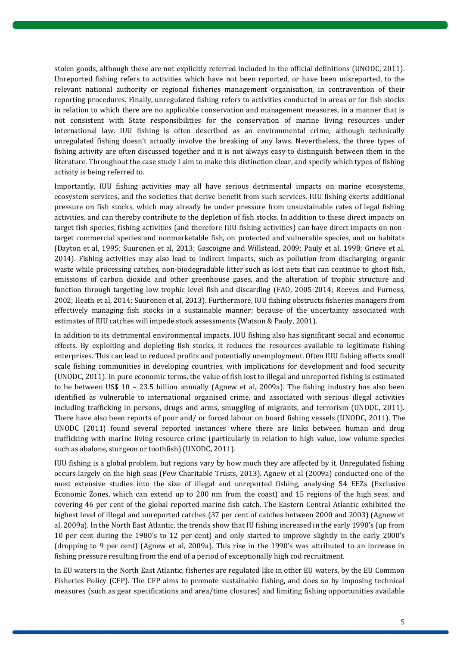stolen goods, although these are not explicitly referred included in the official definitions (UNODC, 2011). Unreported fishing refers to activities which have not been reported, or have been misreported, to the relevant national authority or regional fisheries management organisation, in contravention of their reporting procedures. Finally, unregulated fishing refers to activities conducted in areas or for fish stocks in relation to which there are no applicable conservation and management measures, in a manner that is not consistent with State responsibilities for the conservation of marine living resources under international law. IUU fishing is often described as an environmental crime, although technically unregulated fishing doesn't actually involve the breaking of any laws. Nevertheless, the three types of fishing activity are often discussed together and it is not always easy to distinguish between them in the literature. Throughout the case study I aim to make this distinction clear, and specify which types of fishing activity is being referred to.

Importantly, IUU fishing activities may all have serious detrimental impacts on marine ecosystems, ecosystem services, and the societies that derive benefit from such services. IUU fishing exerts additional pressure on fish stocks, which may already be under pressure from unsustainable rates of legal fishing activities, and can thereby contribute to the depletion of fish stocks. In addition to these direct impacts on target fish species, fishing activities (and therefore IUU fishing activities) can have direct impacts on nontarget commercial species and nonmarketable fish, on protected and vulnerable species, and on habitats (Dayton et al, 1995; Suuronen et al, 2013; Gascoigne and Willstead, 2009; Pauly et al, 1998; Grieve et al, 2014). Fishing activities may also lead to indirect impacts, such as pollution from discharging organic waste while processing catches, non-biodegradable litter such as lost nets that can continue to ghost fish, emissions of carbon dioxide and other greenhouse gases, and the alteration of trophic structure and function through targeting low trophic level fish and discarding (FAO, 2005-2014; Reeves and Furness, 2002; Heath et al, 2014; Suuronen et al, 2013). Furthermore, IUU fishing obstructs fisheries managers from effectively managing fish stocks in a sustainable manner; because of the uncertainty associated with estimates of IUU catches will impede stock assessments (Watson & Pauly, 2001).

In addition to its detrimental environmental impacts, IUU fishing also has significant social and economic effects. By exploiting and depleting fish stocks, it reduces the resources available to legitimate fishing enterprises. This can lead to reduced profits and potentially unemployment. Often IUU fishing affects small scale fishing communities in developing countries, with implications for development and food security (UNODC, 2011). In pure economic terms, the value of fish lost to illegal and unreported fishing is estimated to be between US\$ 10 – 23.5 billion annually (Agnew et al, 2009a). The fishing industry has also been identified as vulnerable to international organised crime, and associated with serious illegal activities including trafficking in persons, drugs and arms, smuggling of migrants, and terrorism (UNODC, 2011). There have also been reports of poor and/ or forced labour on board fishing vessels (UNODC, 2011). The UNODC (2011) found several reported instances where there are links between human and drug trafficking with marine living resource crime (particularly in relation to high value, low volume species such as abalone, sturgeon or toothfish) (UNODC, 2011).

IUU fishing is a global problem, but regions vary by how much they are affected by it. Unregulated fishing occurs largely on the high seas (Pew Charitable Trusts, 2013). Agnew et al (2009a) conducted one of the most extensive studies into the size of illegal and unreported fishing, analysing 54 EEZs (Exclusive Economic Zones, which can extend up to 200 nm from the coast) and 15 regions of the high seas, and covering 46 per cent of the global reported marine fish catch. The Eastern Central Atlantic exhibited the highest level of illegal and unreported catches (37 per cent of catches between 2000 and 2003) (Agnew et al, 2009a). In the North East Atlantic, the trends show that IU fishing increased in the early 1990's (up from 10 per cent during the 1980's to 12 per cent) and only started to improve slightly in the early 2000's (dropping to 9 per cent) (Agnew et al, 2009a). This rise in the 1990's was attributed to an increase in fishing pressure resulting from the end of a period of exceptionally high cod recruitment.

In EU waters in the North East Atlantic, fisheries are regulated like in other EU waters, by the EU Common Fisheries Policy (CFP). The CFP aims to promote sustainable fishing, and does so by imposing technical measures (such as gear specifications and area/time closures) and limiting fishing opportunities available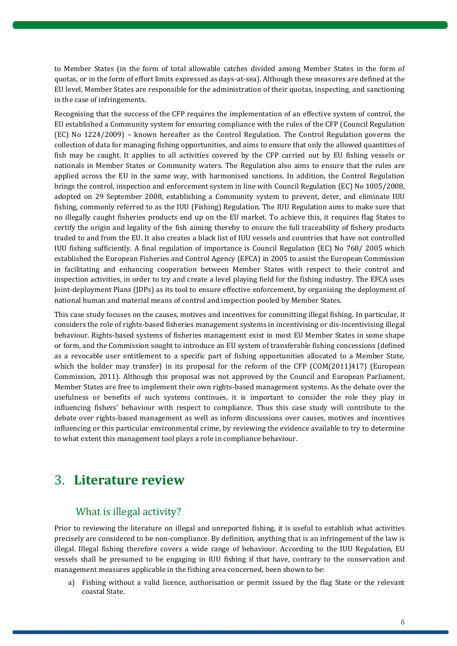to Member States (in the form of total allowable catches divided among Member States in the form of quotas, or in the form of effort limits expressed as days-at-sea). Although these measures are defined at the EU level, Member States are responsible for the administration of their quotas, inspecting, and sanctioning in the case of infringements.

Recognising that the success of the CFP requires the implementation of an effective system of control, the EU established a Community system for ensuring compliance with the rules of the CFP (Council Regulation (EC) No 1224/2009) – known hereafter as the Control Regulation. The Control Regulation governs the collection of data for managing fishing opportunities, and aims to ensure that only the allowed quantities of fish may be caught. It applies to all activities covered by the CFP carried out by EU fishing vessels or nationals in Member States or Community waters. The Regulation also aims to ensure that the rules are applied across the EU in the same way, with harmonised sanctions. In addition, the Control Regulation brings the control, inspection and enforcement system in line with Council Regulation (EC) No 1005/2008, adopted on 29 September 2008, establishing a Community system to prevent, deter, and eliminate IUU fishing, commonly referred to as the IUU (Fishing) Regulation. The IUU Regulation aims to make sure that no illegally caught fisheries products end up on the EU market. To achieve this, it requires flag States to certify the origin and legality of the fish aiming thereby to ensure the full traceability of fishery products traded to and from the EU. It also creates a black list of IUU vessels and countries that have not controlled IUU fishing sufficiently. A final regulation of importance is Council Regulation (EC) No 768/ 2005 which established the European Fisheries and Control Agency (EFCA) in 2005 to assist the European Commission in facilitating and enhancing cooperation between Member States with respect to their control and inspection activities, in order to try and create a level playing field for the fishing industry. The EFCA uses Joint-deployment Plans (JDPs) as its tool to ensure effective enforcement, by organising the deployment of national human and material means of control and inspection pooled by Member States.

This case study focuses on the causes, motives and incentives for committing illegal fishing. In particular, it considers the role of rights-based fisheries management systems in incentivising or dis-incentivising illegal behaviour. Rights-based systems of fisheries management exist in most EU Member States in some shape or form, and the Commission sought to introduce an EU system of transferable fishing concessions (defined as a revocable user entitlement to a specific part of fishing opportunities allocated to a Member State, which the holder may transfer) in its proposal for the reform of the CFP (COM(2011)417) (European Commission, 2011). Although this proposal was not approved by the Council and European Parliament, Member States are free to implement their own rights-based management systems. As the debate over the usefulness or benefits of such systems continues, it is important to consider the role they play in influencing fishers' behaviour with respect to compliance. Thus this case study will contribute to the debate over rights-based management as well as inform discussions over causes, motives and incentives influencing or this particular environmental crime, by reviewing the evidence available to try to determine to what extent this management tool plays a role in compliance behaviour.

# <span id="page-5-0"></span>3. **Literature review**

### What is illegal activity?

<span id="page-5-1"></span>Prior to reviewing the literature on illegal and unreported fishing, it is useful to establish what activities precisely are considered to be non-compliance. By definition, anything that is an infringement of the law is illegal. Illegal fishing therefore covers a wide range of behaviour. According to the IUU Regulation, EU vessels shall be presumed to be engaging in IUU fishing if that have, contrary to the conservation and management measures applicable in the fishing area concerned, been shown to be:

a) Fishing without a valid licence, authorisation or permit issued by the flag State or the relevant coastal State.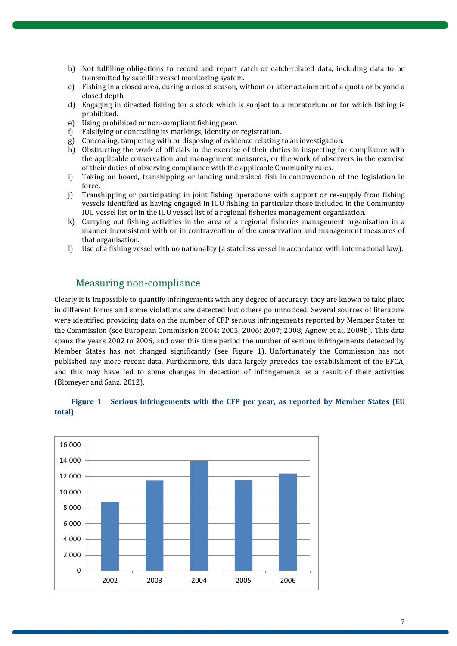- b) Not fulfilling obligations to record and report catch or catch-related data, including data to be transmitted by satellite vessel monitoring system.
- c) Fishing in a closed area, during a closed season, without or after attainment of a quota or beyond a closed depth.
- d) Engaging in directed fishing for a stock which is subject to a moratorium or for which fishing is prohibited.
- e) Using prohibited or non-compliant fishing gear.
- f) Falsifying or concealing its markings, identity or registration.
- g) Concealing, tampering with or disposing of evidence relating to an investigation.
- h) Obstructing the work of officials in the exercise of their duties in inspecting for compliance with the applicable conservation and management measures; or the work of observers in the exercise of their duties of observing compliance with the applicable Community rules.
- i) Taking on board, transhipping or landing undersized fish in contravention of the legislation in force.
- j) Transhipping or participating in joint fishing operations with support or re-supply from fishing vessels identified as having engaged in IUU fishing, in particular those included in the Community IUU vessel list or in the IUU vessel list of a regional fisheries management organisation.
- k) Carrying out fishing activities in the area of a regional fisheries management organisation in a manner inconsistent with or in contravention of the conservation and management measures of that organisation.
- l) Use of a fishing vessel with no nationality (a stateless vessel in accordance with international law).

### <span id="page-6-0"></span>Measuring non-compliance

Clearly it is impossible to quantify infringements with any degree of accuracy: they are known to take place in different forms and some violations are detected but others go unnoticed. Several sources of literature were identified providing data on the number of CFP serious infringements reported by Member States to the Commission (see European Commission 2004; 2005; 2006; 2007; 2008; Agnew et al, 2009b). This data spans the years 2002 to 2006, and over this time period the number of serious infringements detected by Member States has not changed significantly (see Figure 1). Unfortunately the Commission has not published any more recent data. Furthermore, this data largely precedes the establishment of the EFCA, and this may have led to some changes in detection of infringements as a result of their activities (Blomeyer and Sanz, 2012).



#### **Figure 1 Serious infringements with the CFP per year, as reported by Member States (EU total)**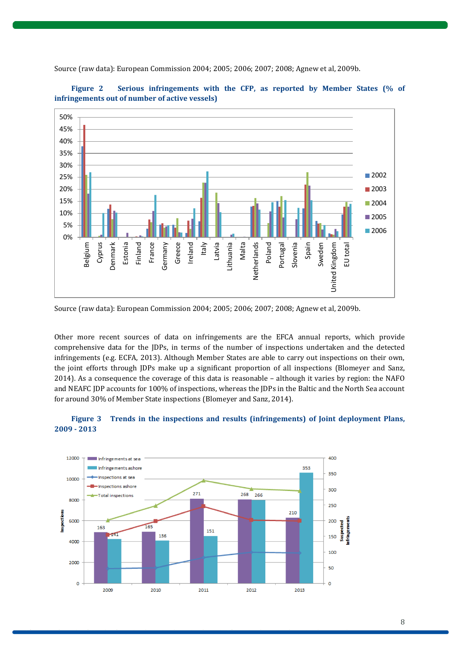

**Figure 2 Serious infringements with the CFP, as reported by Member States (% of** 

Source (raw data): European Commission 2004; 2005; 2006; 2007; 2008; Agnew et al, 2009b.

**infringements out of number of active vessels)** 

Source (raw data): European Commission 2004; 2005; 2006; 2007; 2008; Agnew et al, 2009b.

Other more recent sources of data on infringements are the EFCA annual reports, which provide comprehensive data for the JDPs, in terms of the number of inspections undertaken and the detected infringements (e.g. ECFA, 2013). Although Member States are able to carry out inspections on their own, the joint efforts through JDPs make up a significant proportion of all inspections (Blomeyer and Sanz, 2014). As a consequence the coverage of this data is reasonable – although it varies by region: the NAFO and NEAFC JDP accounts for 100% of inspections, whereas the JDPs in the Baltic and the North Sea account for around 30% of Member State inspections (Blomeyer and Sanz, 2014).

#### **Figure 3 Trends in the inspections and results (infringements) of Joint deployment Plans, 2009 - 2013**

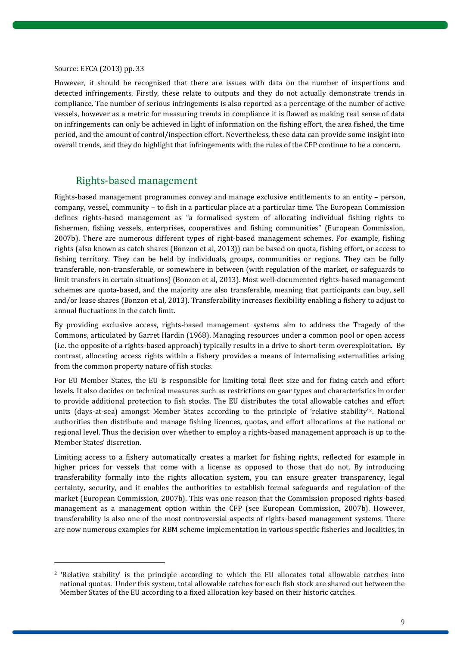#### Source: EFCA (2013) pp. 33

 $\overline{a}$ 

However, it should be recognised that there are issues with data on the number of inspections and detected infringements. Firstly, these relate to outputs and they do not actually demonstrate trends in compliance. The number of serious infringements is also reported as a percentage of the number of active vessels, however as a metric for measuring trends in compliance it is flawed as making real sense of data on infringements can only be achieved in light of information on the fishing effort, the area fished, the time period, and the amount of control/inspection effort. Nevertheless, these data can provide some insight into overall trends, and they do highlight that infringements with the rules of the CFP continue to be a concern.

### <span id="page-8-0"></span>Rights-based management

Rights-based management programmes convey and manage exclusive entitlements to an entity – person, company, vessel, community – to fish in a particular place at a particular time. The European Commission defines rights-based management as "a formalised system of allocating individual fishing rights to fishermen, fishing vessels, enterprises, cooperatives and fishing communities" (European Commission, 2007b). There are numerous different types of right-based management schemes. For example, fishing rights (also known as catch shares (Bonzon et al, 2013)) can be based on quota, fishing effort, or access to fishing territory. They can be held by individuals, groups, communities or regions. They can be fully transferable, non-transferable, or somewhere in between (with regulation of the market, or safeguards to limit transfers in certain situations) (Bonzon et al, 2013). Most well-documented rights-based management schemes are quota-based, and the majority are also transferable, meaning that participants can buy, sell and/or lease shares (Bonzon et al, 2013). Transferability increases flexibility enabling a fishery to adjust to annual fluctuations in the catch limit.

By providing exclusive access, rights-based management systems aim to address the Tragedy of the Commons, articulated by Garret Hardin (1968). Managing resources under a common pool or open access (i.e. the opposite of a rights-based approach) typically results in a drive to short-term overexploitation. By contrast, allocating access rights within a fishery provides a means of internalising externalities arising from the common property nature of fish stocks.

For EU Member States, the EU is responsible for limiting total fleet size and for fixing catch and effort levels. It also decides on technical measures such as restrictions on gear types and characteristics in order to provide additional protection to fish stocks. The EU distributes the total allowable catches and effort units (days-at-sea) amongst Member States according to the principle of 'relative stability'2. National authorities then distribute and manage fishing licences, quotas, and effort allocations at the national or regional level. Thus the decision over whether to employ a rights-based management approach is up to the Member States' discretion.

Limiting access to a fishery automatically creates a market for fishing rights, reflected for example in higher prices for vessels that come with a license as opposed to those that do not. By introducing transferability formally into the rights allocation system, you can ensure greater transparency, legal certainty, security, and it enables the authorities to establish formal safeguards and regulation of the market (European Commission, 2007b). This was one reason that the Commission proposed rights-based management as a management option within the CFP (see European Commission, 2007b). However, transferability is also one of the most controversial aspects of rights-based management systems. There are now numerous examples for RBM scheme implementation in various specific fisheries and localities, in

<sup>2</sup> 'Relative stability' is the principle according to which the EU allocates total allowable catches into national quotas. Under this system, total allowable catches for each fish stock are shared out between the Member States of the EU according to a fixed allocation key based on their historic catches.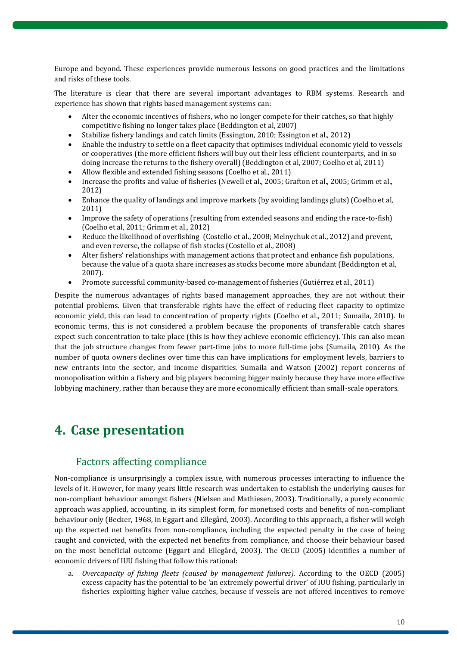Europe and beyond. These experiences provide numerous lessons on good practices and the limitations and risks of these tools.

The literature is clear that there are several important advantages to RBM systems. Research and experience has shown that rights based management systems can:

- Alter the economic incentives of fishers, who no longer compete for their catches, so that highly competitive fishing no longer takes place (Beddington et al, 2007)
- Stabilize fishery landings and catch limits (Essington, 2010; Essington et al., 2012)
- Enable the industry to settle on a fleet capacity that optimises individual economic yield to vessels or cooperatives (the more efficient fishers will buy out their less efficient counterparts, and in so doing increase the returns to the fishery overall) (Beddington et al, 2007; Coelho et al, 2011)
- Allow flexible and extended fishing seasons (Coelho et al., 2011)
- Increase the profits and value of fisheries (Newell et al., 2005; Grafton et al., 2005; Grimm et al., 2012)
- Enhance the quality of landings and improve markets (by avoiding landings gluts) (Coelho et al, 2011)
- Improve the safety of operations (resulting from extended seasons and ending the race-to-fish) (Coelho et al, 2011; Grimm et al., 2012)
- Reduce the likelihood of overfishing (Costello et al., 2008; Melnychuk et al., 2012) and prevent, and even reverse, the collapse of fish stocks (Costello et al., 2008)
- Alter fishers' relationships with management actions that protect and enhance fish populations, because the value of a quota share increases as stocks become more abundant (Beddington et al, 2007).
- Promote successful community-based co-management of fisheries (Gutiérrez et al., 2011)

Despite the numerous advantages of rights based management approaches, they are not without their potential problems. Given that transferable rights have the effect of reducing fleet capacity to optimize economic yield, this can lead to concentration of property rights (Coelho et al., 2011; Sumaila, 2010). In economic terms, this is not considered a problem because the proponents of transferable catch shares expect such concentration to take place (this is how they achieve economic efficiency). This can also mean that the job structure changes from fewer part-time jobs to more full-time jobs (Sumaila, 2010). As the number of quota owners declines over time this can have implications for employment levels, barriers to new entrants into the sector, and income disparities. Sumaila and Watson (2002) report concerns of monopolisation within a fishery and big players becoming bigger mainly because they have more effective lobbying machinery, rather than because they are more economically efficient than small-scale operators.

# <span id="page-9-0"></span>**4. Case presentation**

### Factors affecting compliance

<span id="page-9-1"></span>Non-compliance is unsurprisingly a complex issue, with numerous processes interacting to influence the levels of it. However, for many years little research was undertaken to establish the underlying causes for non-compliant behaviour amongst fishers (Nielsen and Mathiesen, 2003). Traditionally, a purely economic approach was applied, accounting, in its simplest form, for monetised costs and benefits of non-compliant behaviour only (Becker, 1968, in Eggart and Ellegård, 2003). According to this approach, a fisher will weigh up the expected net benefits from non-compliance, including the expected penalty in the case of being caught and convicted, with the expected net benefits from compliance, and choose their behaviour based on the most beneficial outcome (Eggart and Ellegård, 2003). The OECD (2005) identifies a number of economic drivers of IUU fishing that follow this rational:

a. *Overcapacity of fishing fleets (caused by management failures).* According to the OECD (2005) excess capacity has the potential to be 'an extremely powerful driver' of IUU fishing, particularly in fisheries exploiting higher value catches, because if vessels are not offered incentives to remove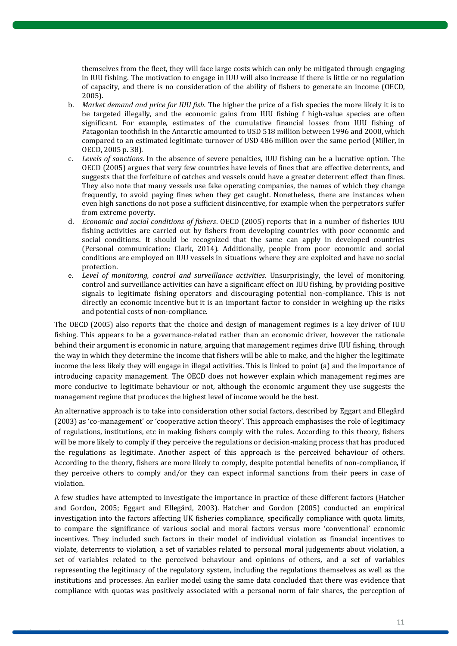themselves from the fleet, they will face large costs which can only be mitigated through engaging in IUU fishing. The motivation to engage in IUU will also increase if there is little or no regulation of capacity, and there is no consideration of the ability of fishers to generate an income (OECD, 2005).

- b. *Market demand and price for IUU fish.* The higher the price of a fish species the more likely it is to be targeted illegally, and the economic gains from IUU fishing f high-value species are often significant. For example, estimates of the cumulative financial losses from IUU fishing of Patagonian toothfish in the Antarctic amounted to USD 518 million between 1996 and 2000, which compared to an estimated legitimate turnover of USD 486 million over the same period (Miller, in OECD, 2005 p. 38).
- c. *Levels of sanctions*. In the absence of severe penalties, IUU fishing can be a lucrative option. The OECD (2005) argues that very few countries have levels of fines that are effective deterrents, and suggests that the forfeiture of catches and vessels could have a greater deterrent effect than fines. They also note that many vessels use fake operating companies, the names of which they change frequently, to avoid paying fines when they get caught. Nonetheless, there are instances when even high sanctions do not pose a sufficient disincentive, for example when the perpetrators suffer from extreme poverty.
- d. *Economic and social conditions of fishers*. OECD (2005) reports that in a number of fisheries IUU fishing activities are carried out by fishers from developing countries with poor economic and social conditions. It should be recognized that the same can apply in developed countries (Personal communication: Clark, 2014). Additionally, people from poor economic and social conditions are employed on IUU vessels in situations where they are exploited and have no social protection.
- e. *Level of monitoring, control and surveillance activities.* Unsurprisingly, the level of monitoring, control and surveillance activities can have a significant effect on IUU fishing, by providing positive signals to legitimate fishing operators and discouraging potential non-compliance. This is not directly an economic incentive but it is an important factor to consider in weighing up the risks and potential costs of non-compliance.

The OECD (2005) also reports that the choice and design of management regimes is a key driver of IUU fishing. This appears to be a governance-related rather than an economic driver, however the rationale behind their argument is economic in nature, arguing that management regimes drive IUU fishing, through the way in which they determine the income that fishers will be able to make, and the higher the legitimate income the less likely they will engage in illegal activities. This is linked to point (a) and the importance of introducing capacity management. The OECD does not however explain which management regimes are more conducive to legitimate behaviour or not, although the economic argument they use suggests the management regime that produces the highest level of income would be the best.

An alternative approach is to take into consideration other social factors, described by Eggart and Ellegård (2003) as 'co-management' or 'cooperative action theory'. This approach emphasises the role of legitimacy of regulations, institutions, etc in making fishers comply with the rules. According to this theory, fishers will be more likely to comply if they perceive the regulations or decision-making process that has produced the regulations as legitimate. Another aspect of this approach is the perceived behaviour of others. According to the theory, fishers are more likely to comply, despite potential benefits of non-compliance, if they perceive others to comply and/or they can expect informal sanctions from their peers in case of violation.

A few studies have attempted to investigate the importance in practice of these different factors (Hatcher and Gordon, 2005; Eggart and Ellegård, 2003). Hatcher and Gordon (2005) conducted an empirical investigation into the factors affecting UK fisheries compliance, specifically compliance with quota limits, to compare the significance of various social and moral factors versus more 'conventional' economic incentives. They included such factors in their model of individual violation as financial incentives to violate, deterrents to violation, a set of variables related to personal moral judgements about violation, a set of variables related to the perceived behaviour and opinions of others, and a set of variables representing the legitimacy of the regulatory system, including the regulations themselves as well as the institutions and processes. An earlier model using the same data concluded that there was evidence that compliance with quotas was positively associated with a personal norm of fair shares, the perception of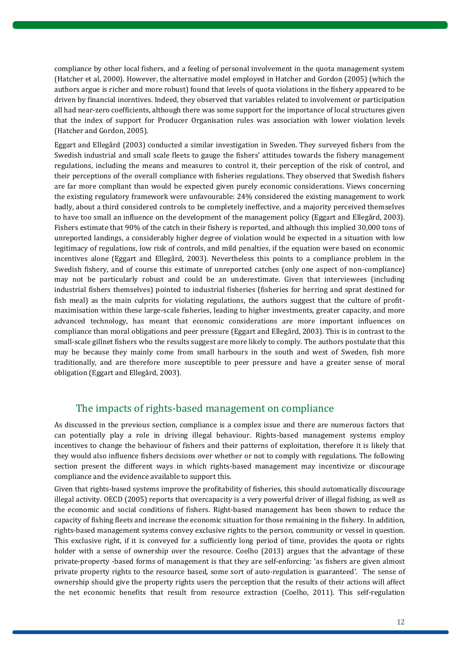compliance by other local fishers, and a feeling of personal involvement in the quota management system (Hatcher et al, 2000). However, the alternative model employed in Hatcher and Gordon (2005) (which the authors argue is richer and more robust) found that levels of quota violations in the fishery appeared to be driven by financial incentives. Indeed, they observed that variables related to involvement or participation all had near-zero coefficients, although there was some support for the importance of local structures given that the index of support for Producer Organisation rules was association with lower violation levels (Hatcher and Gordon, 2005).

Eggart and Ellegård (2003) conducted a similar investigation in Sweden. They surveyed fishers from the Swedish industrial and small scale fleets to gauge the fishers' attitudes towards the fishery management regulations, including the means and measures to control it, their perception of the risk of control, and their perceptions of the overall compliance with fisheries regulations. They observed that Swedish fishers are far more compliant than would be expected given purely economic considerations. Views concerning the existing regulatory framework were unfavourable: 24% considered the existing management to work badly, about a third considered controls to be completely ineffective, and a majority perceived themselves to have too small an influence on the development of the management policy (Eggart and Ellegård, 2003). Fishers estimate that 90% of the catch in their fishery is reported, and although this implied 30,000 tons of unreported landings, a considerably higher degree of violation would be expected in a situation with low legitimacy of regulations, low risk of controls, and mild penalties, if the equation were based on economic incentives alone (Eggart and Ellegård, 2003). Nevertheless this points to a compliance problem in the Swedish fishery, and of course this estimate of unreported catches (only one aspect of non-compliance) may not be particularly robust and could be an underestimate. Given that interviewees (including industrial fishers themselves) pointed to industrial fisheries (fisheries for herring and sprat destined for fish meal) as the main culprits for violating regulations, the authors suggest that the culture of profitmaximisation within these large-scale fisheries, leading to higher investments, greater capacity, and more advanced technology, has meant that economic considerations are more important influences on compliance than moral obligations and peer pressure (Eggart and Ellegård, 2003). This is in contrast to the small-scale gillnet fishers who the results suggest are more likely to comply. The authors postulate that this may be because they mainly come from small harbours in the south and west of Sweden, fish more traditionally, and are therefore more susceptible to peer pressure and have a greater sense of moral obligation (Eggart and Ellegård, 2003).

### <span id="page-11-0"></span>The impacts of rights-based management on compliance

As discussed in the previous section, compliance is a complex issue and there are numerous factors that can potentially play a role in driving illegal behaviour. Rights-based management systems employ incentives to change the behaviour of fishers and their patterns of exploitation, therefore it is likely that they would also influence fishers decisions over whether or not to comply with regulations. The following section present the different ways in which rights-based management may incentivize or discourage compliance and the evidence available to support this.

Given that rights-based systems improve the profitability of fisheries, this should automatically discourage illegal activity. OECD (2005) reports that overcapacity is a very powerful driver of illegal fishing, as well as the economic and social conditions of fishers. Right-based management has been shown to reduce the capacity of fishing fleets and increase the economic situation for those remaining in the fishery. In addition, rights-based management systems convey exclusive rights to the person, community or vessel in question. This exclusive right, if it is conveyed for a sufficiently long period of time, provides the quota or rights holder with a sense of ownership over the resource. Coelho (2013) argues that the advantage of these private-property -based forms of management is that they are self-enforcing: 'as fishers are given almost private property rights to the resource based, some sort of auto-regulation is guaranteed'. The sense of ownership should give the property rights users the perception that the results of their actions will affect the net economic benefits that result from resource extraction (Coelho, 2011). This self-regulation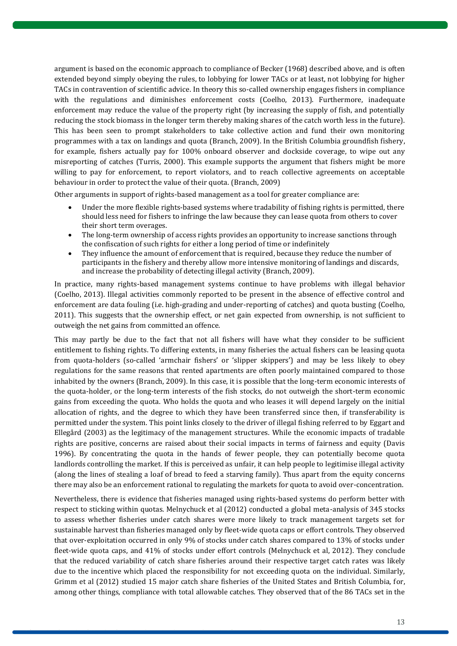argument is based on the economic approach to compliance of Becker (1968) described above, and is often extended beyond simply obeying the rules, to lobbying for lower TACs or at least, not lobbying for higher TACs in contravention of scientific advice. In theory this so-called ownership engages fishers in compliance with the regulations and diminishes enforcement costs (Coelho, 2013). Furthermore, inadequate enforcement may reduce the value of the property right (by increasing the supply of fish, and potentially reducing the stock biomass in the longer term thereby making shares of the catch worth less in the future). This has been seen to prompt stakeholders to take collective action and fund their own monitoring programmes with a tax on landings and quota (Branch, 2009). In the British Columbia groundfish fishery, for example, fishers actually pay for 100% onboard observer and dockside coverage, to wipe out any misreporting of catches (Turris, 2000). This example supports the argument that fishers might be more willing to pay for enforcement, to report violators, and to reach collective agreements on acceptable behaviour in order to protect the value of their quota. (Branch, 2009)

Other arguments in support of rights-based management as a tool for greater compliance are:

- Under the more flexible rights-based systems where tradability of fishing rights is permitted, there should less need for fishers to infringe the law because they can lease quota from others to cover their short term overages.
- The long-term ownership of access rights provides an opportunity to increase sanctions through the confiscation of such rights for either a long period of time or indefinitely
- They influence the amount of enforcement that is required, because they reduce the number of participants in the fishery and thereby allow more intensive monitoring of landings and discards, and increase the probability of detecting illegal activity (Branch, 2009).

In practice, many rights-based management systems continue to have problems with illegal behavior (Coelho, 2013). Illegal activities commonly reported to be present in the absence of effective control and enforcement are data fouling (i.e. high-grading and under-reporting of catches) and quota busting (Coelho, 2011). This suggests that the ownership effect, or net gain expected from ownership, is not sufficient to outweigh the net gains from committed an offence.

This may partly be due to the fact that not all fishers will have what they consider to be sufficient entitlement to fishing rights. To differing extents, in many fisheries the actual fishers can be leasing quota from quota-holders (so-called 'armchair fishers' or 'slipper skippers') and may be less likely to obey regulations for the same reasons that rented apartments are often poorly maintained compared to those inhabited by the owners (Branch, 2009). In this case, it is possible that the long-term economic interests of the quota-holder, or the long-term interests of the fish stocks, do not outweigh the short-term economic gains from exceeding the quota. Who holds the quota and who leases it will depend largely on the initial allocation of rights, and the degree to which they have been transferred since then, if transferability is permitted under the system. This point links closely to the driver of illegal fishing referred to by Eggart and Ellegård (2003) as the legitimacy of the management structures. While the economic impacts of tradable rights are positive, concerns are raised about their social impacts in terms of fairness and equity (Davis 1996). By concentrating the quota in the hands of fewer people, they can potentially become quota landlords controlling the market. If this is perceived as unfair, it can help people to legitimise illegal activity (along the lines of stealing a loaf of bread to feed a starving family). Thus apart from the equity concerns there may also be an enforcement rational to regulating the markets for quota to avoid over-concentration.

Nevertheless, there is evidence that fisheries managed using rights-based systems do perform better with respect to sticking within quotas. Melnychuck et al (2012) conducted a global meta-analysis of 345 stocks to assess whether fisheries under catch shares were more likely to track management targets set for sustainable harvest than fisheries managed only by fleet-wide quota caps or effort controls. They observed that over-exploitation occurred in only 9% of stocks under catch shares compared to 13% of stocks under fleet-wide quota caps, and 41% of stocks under effort controls (Melnychuck et al, 2012). They conclude that the reduced variability of catch share fisheries around their respective target catch rates was likely due to the incentive which placed the responsibility for not exceeding quota on the individual. Similarly, Grimm et al (2012) studied 15 major catch share fisheries of the United States and British Columbia, for, among other things, compliance with total allowable catches. They observed that of the 86 TACs set in the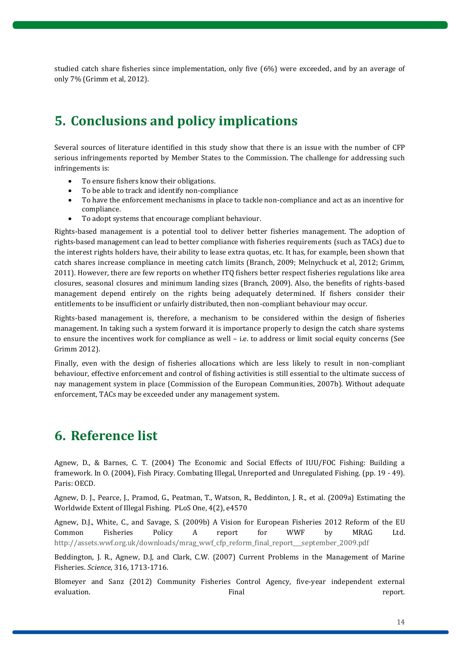<span id="page-13-0"></span>studied catch share fisheries since implementation, only five (6%) were exceeded, and by an average of only 7% (Grimm et al, 2012).

# **5. Conclusions and policy implications**

Several sources of literature identified in this study show that there is an issue with the number of CFP serious infringements reported by Member States to the Commission. The challenge for addressing such infringements is:

- To ensure fishers know their obligations.
- To be able to track and identify non-compliance
- To have the enforcement mechanisms in place to tackle non-compliance and act as an incentive for compliance.
- To adopt systems that encourage compliant behaviour.

Rights-based management is a potential tool to deliver better fisheries management. The adoption of rights-based management can lead to better compliance with fisheries requirements (such as TACs) due to the interest rights holders have, their ability to lease extra quotas, etc. It has, for example, been shown that catch shares increase compliance in meeting catch limits (Branch, 2009; Melnychuck et al, 2012; Grimm, 2011). However, there are few reports on whether ITQ fishers better respect fisheries regulations like area closures, seasonal closures and minimum landing sizes (Branch, 2009). Also, the benefits of rights-based management depend entirely on the rights being adequately determined. If fishers consider their entitlements to be insufficient or unfairly distributed, then non-compliant behaviour may occur.

Rights-based management is, therefore, a mechanism to be considered within the design of fisheries management. In taking such a system forward it is importance properly to design the catch share systems to ensure the incentives work for compliance as well – i.e. to address or limit social equity concerns (See Grimm 2012).

Finally, even with the design of fisheries allocations which are less likely to result in non-compliant behaviour, effective enforcement and control of fishing activities is still essential to the ultimate success of nay management system in place (Commission of the European Communities, 2007b). Without adequate enforcement, TACs may be exceeded under any management system.

# <span id="page-13-1"></span>**6. Reference list**

Agnew, D., & Barnes, C. T. (2004) The Economic and Social Effects of IUU/FOC Fishing: Building a framework. In O. (2004), Fish Piracy. Combating Illegal, Unreported and Unregulated Fishing. (pp. 19 - 49). Paris: OECD.

Agnew, D. J., Pearce, J., Pramod, G., Peatman, T., Watson, R., Beddinton, J. R., et al. (2009a) Estimating the Worldwide Extent of Illegal Fishing. PLoS One, 4(2), e4570

Agnew, D.J., White, C., and Savage, S. (2009b) A Vision for European Fisheries 2012 Reform of the EU Common Fisheries Policy A report for WWF by MRAG Ltd. [http://assets.wwf.org.uk/downloads/mrag\\_wwf\\_cfp\\_reform\\_final\\_report\\_\\_\\_september\\_2009.pdf](http://assets.wwf.org.uk/downloads/mrag_wwf_cfp_reform_final_report___september_2009.pdf)

Beddington, J. R., Agnew, D.J, and Clark, C.W. (2007) Current Problems in the Management of Marine Fisheries. *Science*, 316, 1713-1716.

Blomeyer and Sanz (2012) Community Fisheries Control Agency, five-year independent external evaluation. Final report.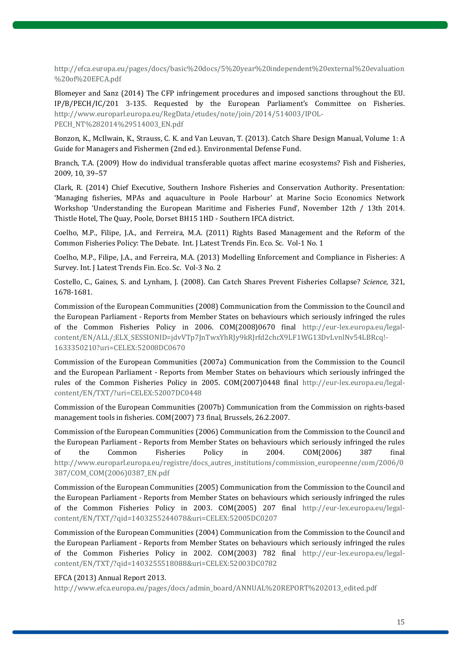[http://efca.europa.eu/pages/docs/basic%20docs/5%20year%20independent%20external%20evaluation](http://efca.europa.eu/pages/docs/basic%20docs/5%20year%20independent%20external%20evaluation%20of%20EFCA.pdf) [%20of%20EFCA.pdf](http://efca.europa.eu/pages/docs/basic%20docs/5%20year%20independent%20external%20evaluation%20of%20EFCA.pdf)

Blomeyer and Sanz (2014) The CFP infringement procedures and imposed sanctions throughout the EU. IP/B/PECH/IC/201 3-135. Requested by the European Parliament's Committee on Fisheries. [http://www.europarl.europa.eu/RegData/etudes/note/join/2014/514003/IPOL-](http://www.europarl.europa.eu/RegData/etudes/note/join/2014/514003/IPOL-PECH_NT%282014%29514003_EN.pdf)[PECH\\_NT%282014%29514003\\_EN.pdf](http://www.europarl.europa.eu/RegData/etudes/note/join/2014/514003/IPOL-PECH_NT%282014%29514003_EN.pdf)

Bonzon, K., McIlwain, K., Strauss, C. K. and Van Leuvan, T. (2013). Catch Share Design Manual, Volume 1: A Guide for Managers and Fishermen (2nd ed.). Environmental Defense Fund.

Branch, T.A. (2009) How do individual transferable quotas affect marine ecosystems? Fish and Fisheries, 2009, 10, 39–57

Clark, R. (2014) Chief Executive, Southern Inshore Fisheries and Conservation Authority. Presentation: 'Managing fisheries, MPAs and aquaculture in Poole Harbour' at Marine Socio Economics Network Workshop 'Understanding the European Maritime and Fisheries Fund', November 12th / 13th 2014. Thistle Hotel, The Quay, Poole, Dorset BH15 1HD - Southern IFCA district.

Coelho, M.P., Filipe, J.A., and Ferreira, M.A. (2011) Rights Based Management and the Reform of the Common Fisheries Policy: The Debate. Int. J Latest Trends Fin. Eco. Sc. Vol-1 No. 1

Coelho, M.P., Filipe, J.A., and Ferreira, M.A. (2013) Modelling Enforcement and Compliance in Fisheries: A Survey. Int. J Latest Trends Fin. Eco. Sc. Vol-3 No. 2

Costello, C., Gaines, S. and Lynham, J. (2008). Can Catch Shares Prevent Fisheries Collapse? *Science*, 321, 1678-1681.

Commission of the European Communities (2008) Communication from the Commission to the Council and the European Parliament - Reports from Member States on behaviours which seriously infringed the rules of the Common Fisheries Policy in 2006. COM(2008)0670 final [http://eur-lex.europa.eu/legal](http://eur-lex.europa.eu/legal-content/EN/ALL/;ELX_SESSIONID=jdvVTp7JnTwxYhRJy9kRJrfd2chcX9LF1WG13DvLvnlNv54LBRcq!-1633350210?uri=CELEX:52008DC0670)[content/EN/ALL/;ELX\\_SESSIONID=jdvVTp7JnTwxYhRJy9kRJrfd2chcX9LF1WG13DvLvnlNv54LBRcq!-](http://eur-lex.europa.eu/legal-content/EN/ALL/;ELX_SESSIONID=jdvVTp7JnTwxYhRJy9kRJrfd2chcX9LF1WG13DvLvnlNv54LBRcq!-1633350210?uri=CELEX:52008DC0670) [1633350210?uri=CELEX:52008DC0670](http://eur-lex.europa.eu/legal-content/EN/ALL/;ELX_SESSIONID=jdvVTp7JnTwxYhRJy9kRJrfd2chcX9LF1WG13DvLvnlNv54LBRcq!-1633350210?uri=CELEX:52008DC0670)

Commission of the European Communities (2007a) Communication from the Commission to the Council and the European Parliament - Reports from Member States on behaviours which seriously infringed the rules of the Common Fisheries Policy in 2005. COM(2007)0448 final [http://eur-lex.europa.eu/legal](http://eur-lex.europa.eu/legal-content/EN/TXT/?uri=CELEX:52007DC0448)[content/EN/TXT/?uri=CELEX:52007DC0448](http://eur-lex.europa.eu/legal-content/EN/TXT/?uri=CELEX:52007DC0448)

Commission of the European Communities (2007b) Communication from the Commission on rights-based management tools in fisheries. COM(2007) 73 final, Brussels, 26.2.2007.

Commission of the European Communities (2006) Communication from the Commission to the Council and the European Parliament - Reports from Member States on behaviours which seriously infringed the rules of the Common Fisheries Policy in 2004. COM(2006) 387 final [http://www.europarl.europa.eu/registre/docs\\_autres\\_institutions/commission\\_europeenne/com/2006/0](http://www.europarl.europa.eu/registre/docs_autres_institutions/commission_europeenne/com/2006/0387/COM_COM(2006)0387_EN.pdf) [387/COM\\_COM\(2006\)0387\\_EN.pdf](http://www.europarl.europa.eu/registre/docs_autres_institutions/commission_europeenne/com/2006/0387/COM_COM(2006)0387_EN.pdf)

Commission of the European Communities (2005) Communication from the Commission to the Council and the European Parliament - Reports from Member States on behaviours which seriously infringed the rules of the Common Fisheries Policy in 2003. COM(2005) 207 final [http://eur-lex.europa.eu/legal](http://eur-lex.europa.eu/legal-content/EN/TXT/?qid=1403255244078&uri=CELEX:52005DC0207)[content/EN/TXT/?qid=1403255244078&uri=CELEX:52005DC0207](http://eur-lex.europa.eu/legal-content/EN/TXT/?qid=1403255244078&uri=CELEX:52005DC0207)

Commission of the European Communities (2004) Communication from the Commission to the Council and the European Parliament - Reports from Member States on behaviours which seriously infringed the rules of the Common Fisheries Policy in 2002. COM(2003) 782 final [http://eur-lex.europa.eu/legal](http://eur-lex.europa.eu/legal-content/EN/TXT/?qid=1403255518088&uri=CELEX:52003DC0782)[content/EN/TXT/?qid=1403255518088&uri=CELEX:52003DC0782](http://eur-lex.europa.eu/legal-content/EN/TXT/?qid=1403255518088&uri=CELEX:52003DC0782)

#### EFCA (2013) Annual Report 2013.

[http://www.efca.europa.eu/pages/docs/admin\\_board/ANNUAL%20REPORT%202013\\_edited.pdf](http://www.efca.europa.eu/pages/docs/admin_board/ANNUAL%20REPORT%202013_edited.pdf)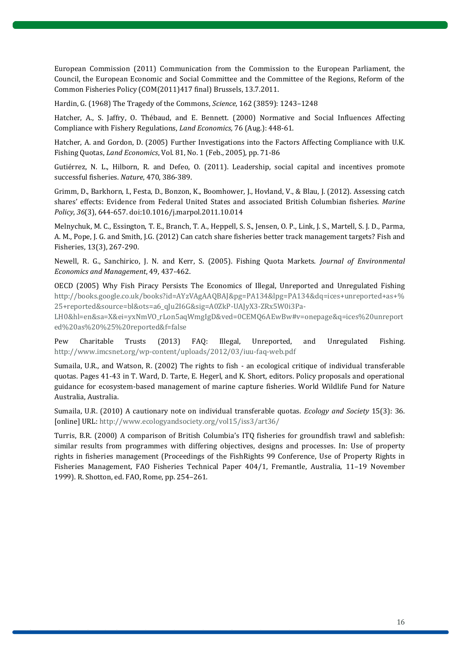European Commission (2011) Communication from the Commission to the European Parliament, the Council, the European Economic and Social Committee and the Committee of the Regions, Reform of the Common Fisheries Policy (COM(2011)417 final) Brussels, 13.7.2011.

Hardin, G. (1968) The Tragedy of the Commons, *Science*, 162 (3859): 1243–1248

Hatcher, A., S. Jaffry, O. Thébaud, and E. Bennett. (2000) Normative and Social Influences Affecting Compliance with Fishery Regulations, *Land Economics,* 76 (Aug.): 448-61.

Hatcher, A. and Gordon, D. (2005) Further Investigations into the Factors Affecting Compliance with U.K. Fishing Quotas, *Land Economics*, Vol. 81, No. 1 (Feb., 2005), pp. 71-86

Gutiérrez, N. L., Hilborn, R. and Defeo, O. (2011). Leadership, social capital and incentives promote successful fisheries. *Nature*, 470, 386-389.

Grimm, D., Barkhorn, I., Festa, D., Bonzon, K., Boomhower, J., Hovland, V., & Blau, J. (2012). Assessing catch shares' effects: Evidence from Federal United States and associated British Columbian fisheries. *Marine Policy*, *36*(3), 644-657. doi:10.1016/j.marpol.2011.10.014

Melnychuk, M. C., Essington, T. E., Branch, T. A., Heppell, S. S., Jensen, O. P., Link, J. S., Martell, S. J. D., Parma, A. M., Pope, J. G. and Smith, J.G. (2012) Can catch share fisheries better track management targets? Fish and Fisheries, 13(3), 267-290.

Newell, R. G., Sanchirico, J. N. and Kerr, S. (2005). Fishing Quota Markets. *Journal of Environmental Economics and Management*, 49, 437-462.

OECD (2005) Why Fish Piracy Persists The Economics of Illegal, Unreported and Unregulated Fishing [http://books.google.co.uk/books?id=AYzVAgAAQBAJ&pg=PA134&lpg=PA134&dq=ices+unreported+as+%](http://books.google.co.uk/books?id=AYzVAgAAQBAJ&pg=PA134&lpg=PA134&dq=ices+unreported+as+%25+reported&source=bl&ots=a6_qJu2I6G&sig=A0ZkP-UAJyX3-ZRx5W0i3Pa-LH0&hl=en&sa=X&ei=yxNmVO_rLon5aqWmgIgD&ved=0CEMQ6AEwBw#v=onepage&q=ices%20unreported%20as%20%25%20reported&f=false) [25+reported&source=bl&ots=a6\\_qJu2I6G&sig=A0ZkP-UAJyX3-ZRx5W0i3Pa-](http://books.google.co.uk/books?id=AYzVAgAAQBAJ&pg=PA134&lpg=PA134&dq=ices+unreported+as+%25+reported&source=bl&ots=a6_qJu2I6G&sig=A0ZkP-UAJyX3-ZRx5W0i3Pa-LH0&hl=en&sa=X&ei=yxNmVO_rLon5aqWmgIgD&ved=0CEMQ6AEwBw#v=onepage&q=ices%20unreported%20as%20%25%20reported&f=false)

[LH0&hl=en&sa=X&ei=yxNmVO\\_rLon5aqWmgIgD&ved=0CEMQ6AEwBw#v=onepage&q=ices%20unreport](http://books.google.co.uk/books?id=AYzVAgAAQBAJ&pg=PA134&lpg=PA134&dq=ices+unreported+as+%25+reported&source=bl&ots=a6_qJu2I6G&sig=A0ZkP-UAJyX3-ZRx5W0i3Pa-LH0&hl=en&sa=X&ei=yxNmVO_rLon5aqWmgIgD&ved=0CEMQ6AEwBw#v=onepage&q=ices%20unreported%20as%20%25%20reported&f=false) [ed%20as%20%25%20reported&f=false](http://books.google.co.uk/books?id=AYzVAgAAQBAJ&pg=PA134&lpg=PA134&dq=ices+unreported+as+%25+reported&source=bl&ots=a6_qJu2I6G&sig=A0ZkP-UAJyX3-ZRx5W0i3Pa-LH0&hl=en&sa=X&ei=yxNmVO_rLon5aqWmgIgD&ved=0CEMQ6AEwBw#v=onepage&q=ices%20unreported%20as%20%25%20reported&f=false)

Pew Charitable Trusts (2013) FAQ: Illegal, Unreported, and Unregulated Fishing. <http://www.imcsnet.org/wp-content/uploads/2012/03/iuu-faq-web.pdf>

Sumaila, U.R., and Watson, R. (2002) The rights to fish - an ecological critique of individual transferable quotas. Pages 41-43 in T. Ward, D. Tarte, E. Hegerl, and K. Short, editors. Policy proposals and operational guidance for ecosystem-based management of marine capture fisheries. World Wildlife Fund for Nature Australia, Australia.

Sumaila, U.R. (2010) A cautionary note on individual transferable quotas. *Ecology and Society* 15(3): 36. [online] URL:<http://www.ecologyandsociety.org/vol15/iss3/art36/>

Turris, B.R. (2000) A comparison of British Columbia's ITQ fisheries for groundfish trawl and sablefish: similar results from programmes with differing objectives, designs and processes. In: Use of property rights in fisheries management (Proceedings of the FishRights 99 Conference, Use of Property Rights in Fisheries Management, FAO Fisheries Technical Paper 404/1, Fremantle, Australia, 11–19 November 1999). R. Shotton, ed. FAO, Rome, pp. 254–261.